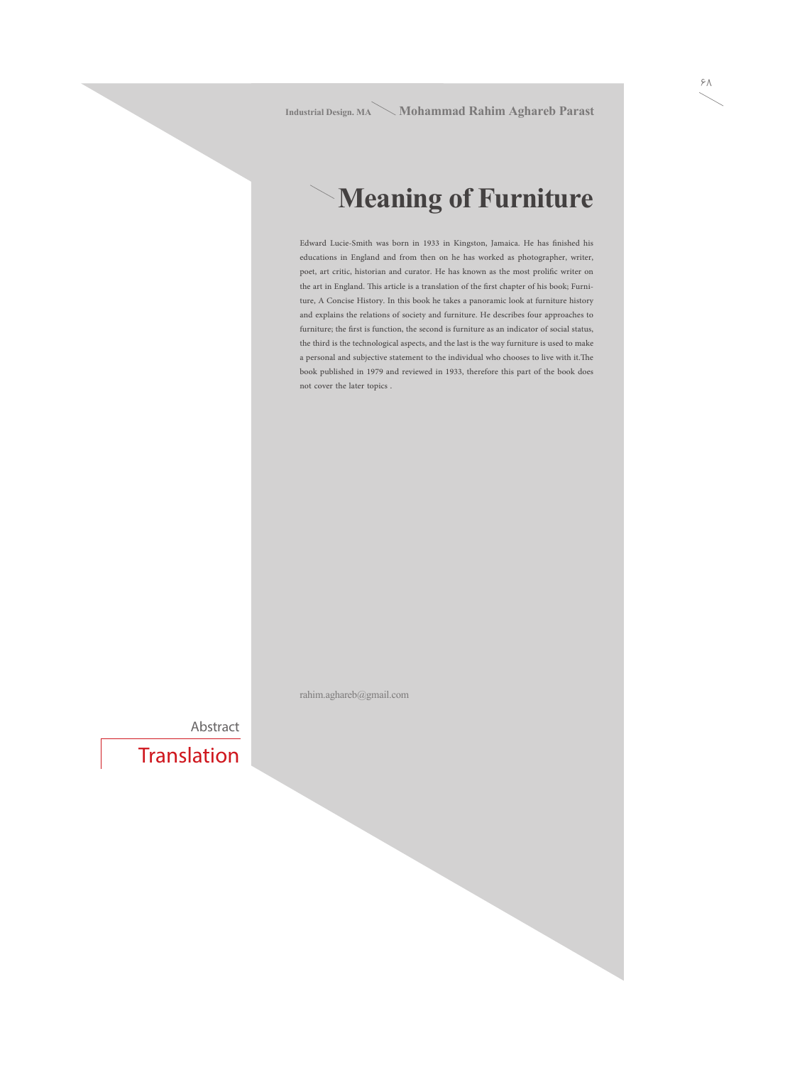**Industrial Design. MA Mohammad Rahim Aghareb Parast**

# **Meaning of Furniture**

Edward Lucie-Smith was born in 1933 in Kingston, Jamaica. He has finished his educations in England and from then on he has worked as photographer, writer, poet, art critic, historian and curator. He has known as the most prolific writer on the art in England. This article is a translation of the first chapter of his book; Furniture, A Concise History. In this book he takes a panoramic look at furniture history and explains the relations of society and furniture. He describes four approaches to furniture; the first is function, the second is furniture as an indicator of social status, the third is the technological aspects, and the last is the way furniture is used to make a personal and subjective statement to the individual who chooses to live with it.The book published in 1979 and reviewed in 1933, therefore this part of the book does not cover the later topics .

rahim.aghareb@gmail.com

Abstract

**Translation**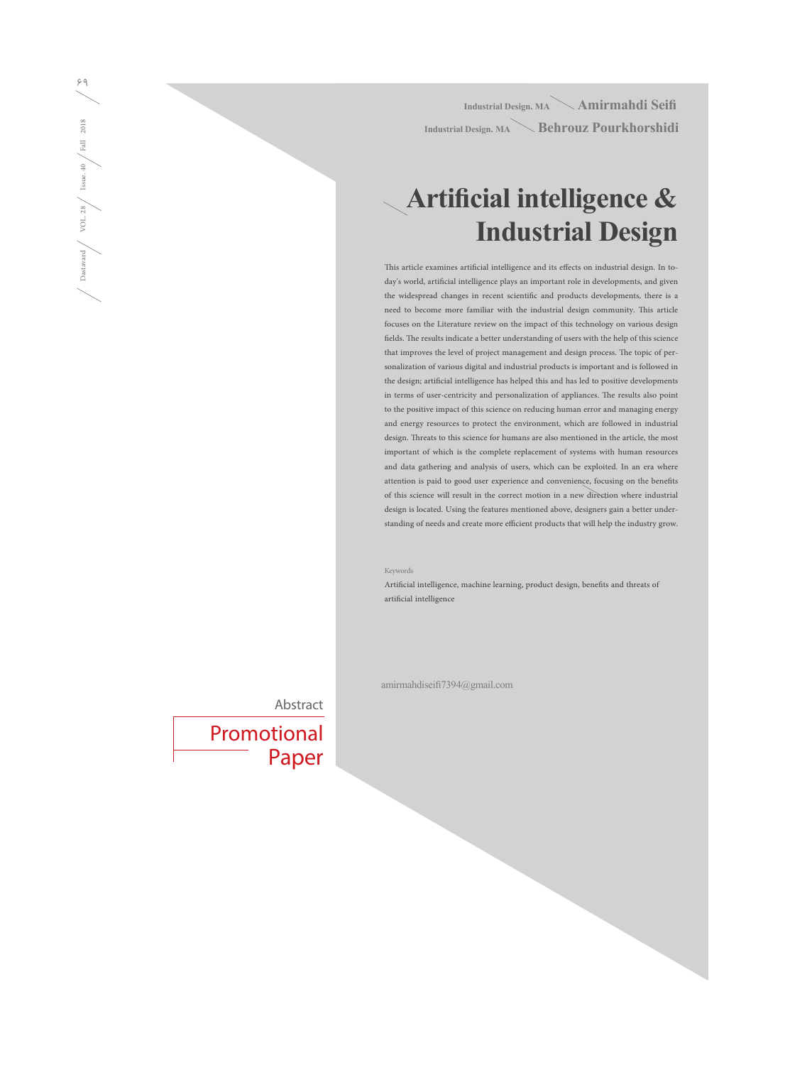**Industrial Design. MA Amirmahdi Seifi Industrial Design. MA Behrouz Pourkhorshidi**

# **Artificial intelligence & Industrial Design**

This article examines artificial intelligence and its effects on industrial design. In today's world, artificial intelligence plays an important role in developments, and given the widespread changes in recent scientific and products developments, there is a need to become more familiar with the industrial design community. This article focuses on the Literature review on the impact of this technology on various design fields. The results indicate a better understanding of users with the help of this science that improves the level of project management and design process. The topic of personalization of various digital and industrial products is important and is followed in the design; artificial intelligence has helped this and has led to positive developments in terms of user-centricity and personalization of appliances. The results also point to the positive impact of this science on reducing human error and managing energy and energy resources to protect the environment, which are followed in industrial design. Threats to this science for humans are also mentioned in the article, the most important of which is the complete replacement of systems with human resources and data gathering and analysis of users, which can be exploited. In an era where attention is paid to good user experience and convenience, focusing on the benefits of this science will result in the correct motion in a new direction where industrial design is located. Using the features mentioned above, designers gain a better understanding of needs and create more efficient products that will help the industry grow.

Keywords

Artificial intelligence, machine learning, product design, benefits and threats of artificial intelligence

amirmahdiseifi7394@gmail.com

Abstract

Promotional Paper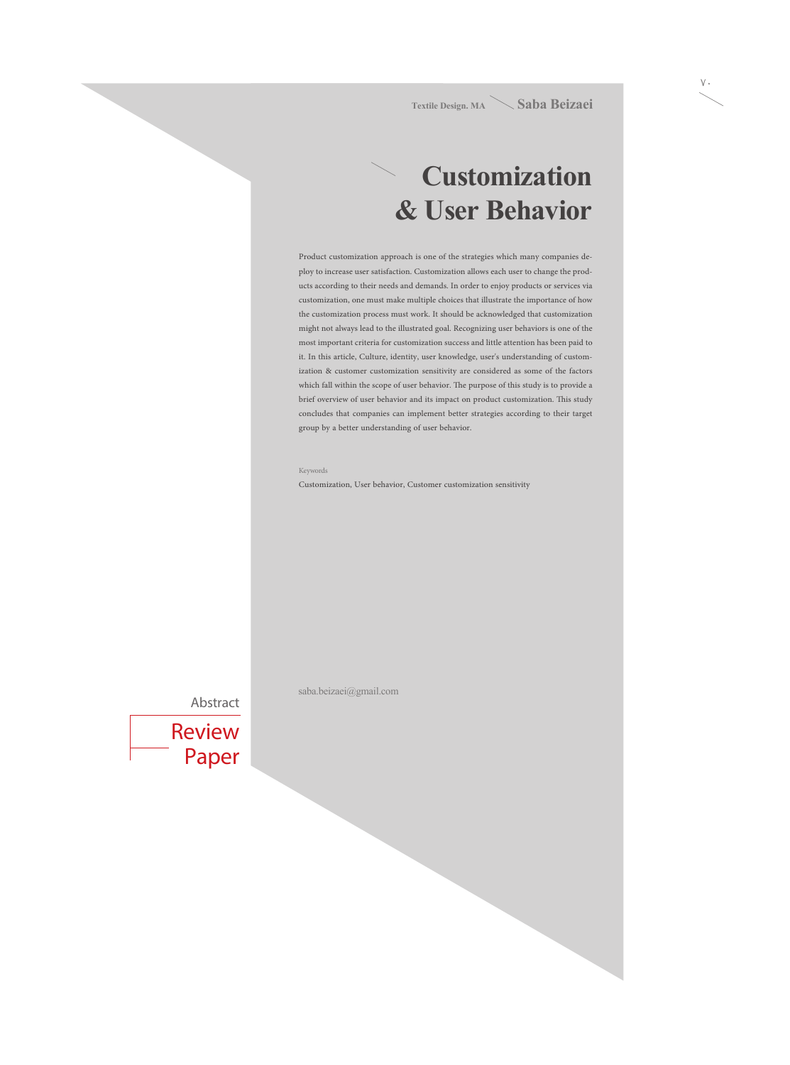## **Customization & User Behavior**

Product customization approach is one of the strategies which many companies deploy to increase user satisfaction. Customization allows each user to change the products according to their needs and demands. In order to enjoy products or services via customization, one must make multiple choices that illustrate the importance of how the customization process must work. It should be acknowledged that customization might not always lead to the illustrated goal. Recognizing user behaviors is one of the most important criteria for customization success and little attention has been paid to it. In this article, Culture, identity, user knowledge, user's understanding of customization & customer customization sensitivity are considered as some of the factors which fall within the scope of user behavior. The purpose of this study is to provide a brief overview of user behavior and its impact on product customization. This study concludes that companies can implement better strategies according to their target group by a better understanding of user behavior.

#### Keywords

Customization, User behavior, Customer customization sensitivity

Abstract

Review Paper saba.beizaei@gmail.com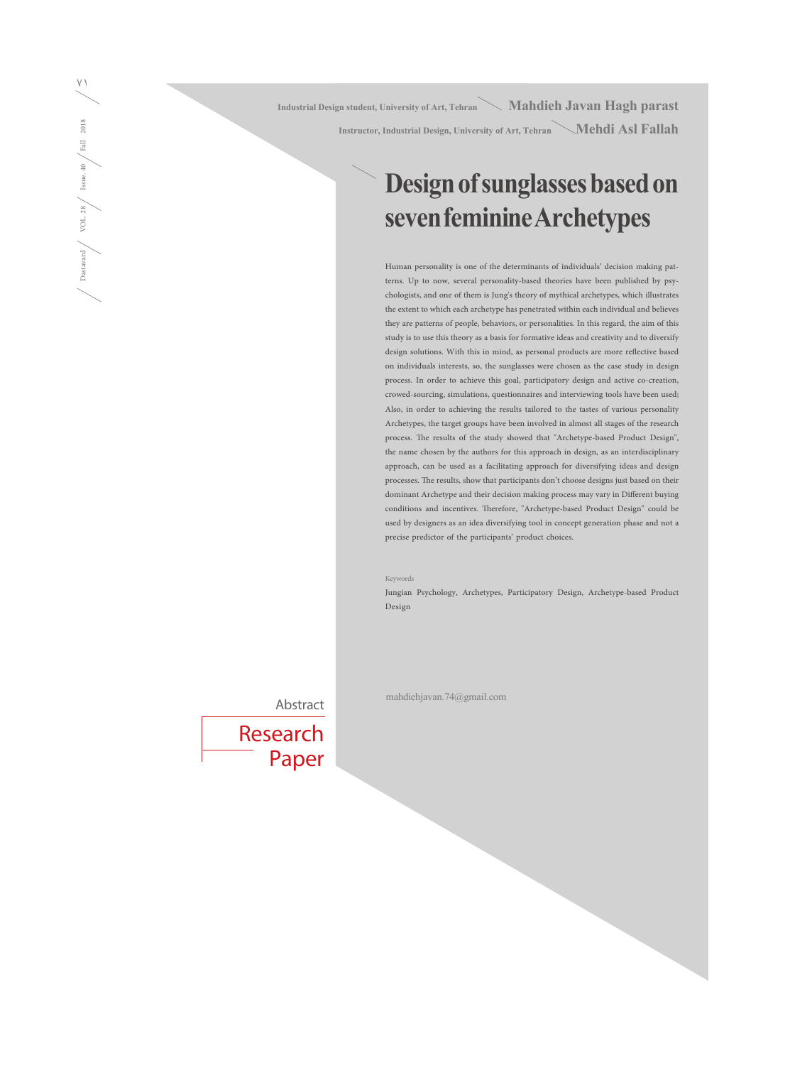Industrial Design student, University of Art, Tehran **Mahdieh Javan Hagh parast Instructor, Industrial Design, University of Art, Tehran Mehdi Asl Fallah**

### **Design of sunglasses based on seven feminine Archetypes**

Human personality is one of the determinants of individuals' decision making patterns. Up to now, several personality-based theories have been published by psychologists, and one of them is Jung's theory of mythical archetypes, which illustrates the extent to which each archetype has penetrated within each individual and believes they are patterns of people, behaviors, or personalities. In this regard, the aim of this study is to use this theory as a basis for formative ideas and creativity and to diversify design solutions. With this in mind, as personal products are more reflective based on individuals interests, so, the sunglasses were chosen as the case study in design process. In order to achieve this goal, participatory design and active co-creation, crowed-sourcing, simulations, questionnaires and interviewing tools have been used; Also, in order to achieving the results tailored to the tastes of various personality Archetypes, the target groups have been involved in almost all stages of the research process. The results of the study showed that "Archetype-based Product Design", the name chosen by the authors for this approach in design, as an interdisciplinary approach, can be used as a facilitating approach for diversifying ideas and design processes. The results, show that participants don't choose designs just based on their dominant Archetype and their decision making process may vary in Different buying conditions and incentives. Therefore, "Archetype-based Product Design" could be used by designers as an idea diversifying tool in concept generation phase and not a precise predictor of the participants' product choices.

Keywords

Jungian Psychology, Archetypes, Participatory Design, Archetype-based Product Design

Abstract



mahdiehjavan.74@gmail.com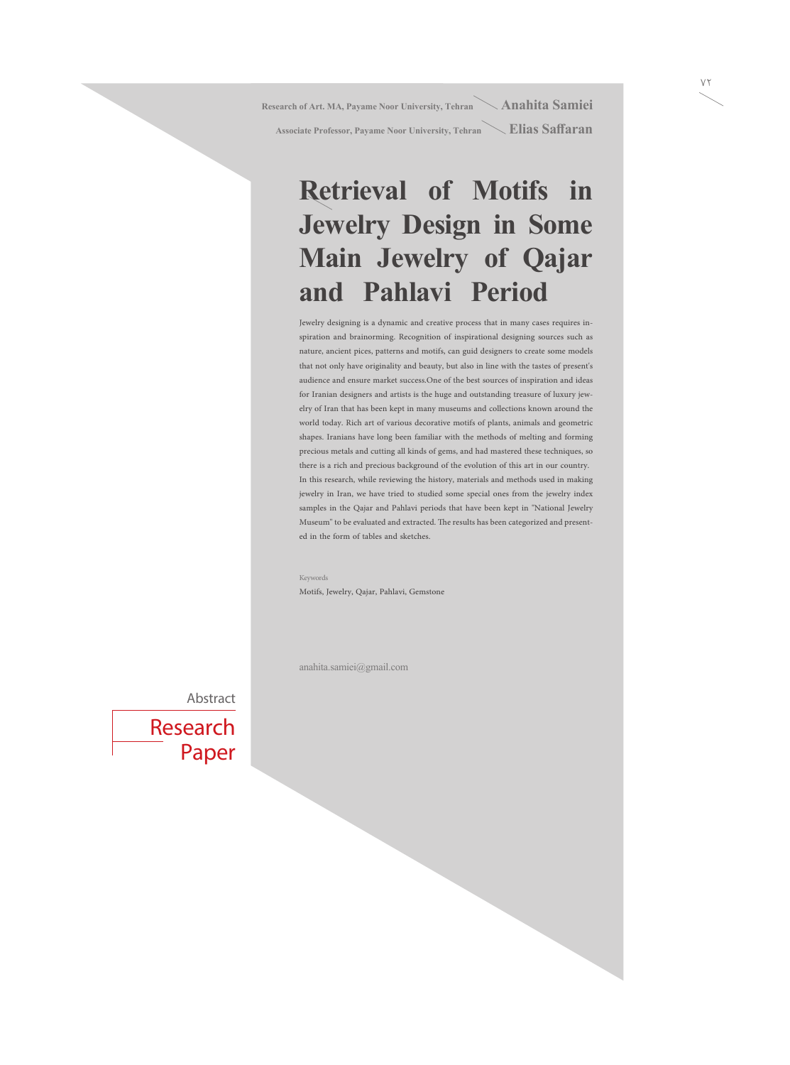**Research of Art. MA, Payame Noor University, Tehran** Anahita Samiei

**Associate Professor, Payame Noor University, Tehran Elias Saffaran**

# **Retrieval of Motifs in Jewelry Design in Some Main Jewelry of Qajar and Pahlavi Period**

Jewelry designing is a dynamic and creative process that in many cases requires inspiration and brainorming. Recognition of inspirational designing sources such as nature, ancient pices, patterns and motifs, can guid designers to create some models that not only have originality and beauty, but also in line with the tastes of present's audience and ensure market success.One of the best sources of inspiration and ideas for Iranian designers and artists is the huge and outstanding treasure of luxury jewelry of Iran that has been kept in many museums and collections known around the world today. Rich art of various decorative motifs of plants, animals and geometric shapes. Iranians have long been familiar with the methods of melting and forming precious metals and cutting all kinds of gems, and had mastered these techniques, so there is a rich and precious background of the evolution of this art in our country. In this research, while reviewing the history, materials and methods used in making jewelry in Iran, we have tried to studied some special ones from the jewelry index samples in the Qajar and Pahlavi periods that have been kept in "National Jewelry Museum" to be evaluated and extracted. The results has been categorized and presented in the form of tables and sketches.

Keywords Motifs, Jewelry, Qajar, Pahlavi, Gemstone

anahita.samiei@gmail.com

#### Abstract